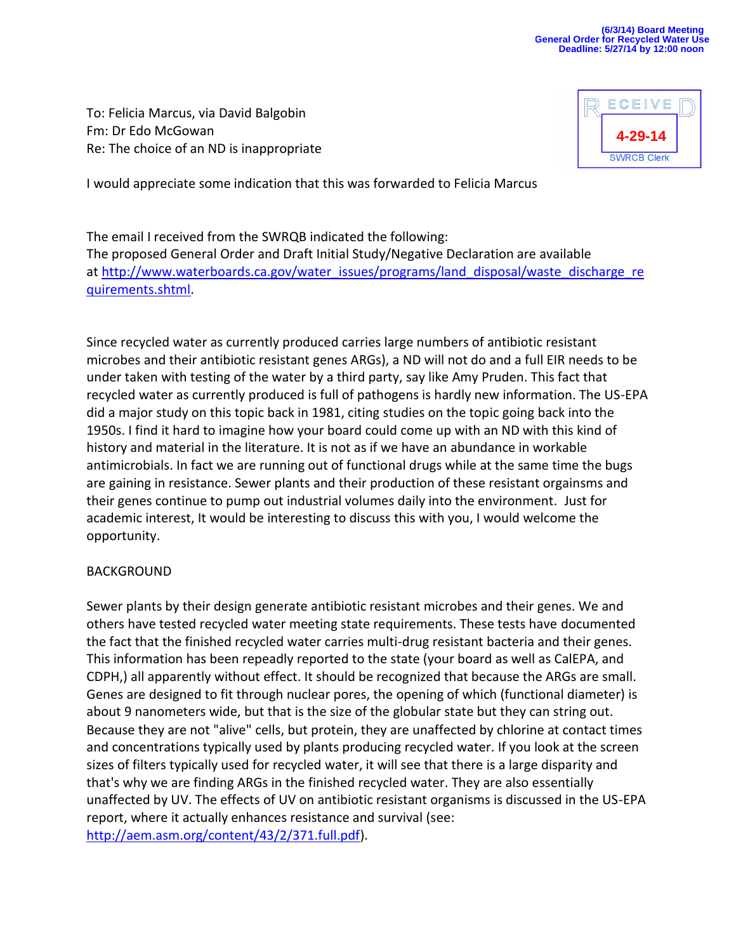#### **(6/3/14) Board Meeting General Order for Recycled Water Use Deadline: 5/27/14 by 12:00 noon**

To: Felicia Marcus, via David Balgobin Fm: Dr Edo McGowan Re: The choice of an ND is inappropriate



I would appreciate some indication that this was forwarded to Felicia Marcus

The email I received from the SWRQB indicated the following: The proposed General Order and Draft Initial Study/Negative Declaration are available at [http://www.waterboards.ca.gov/water\\_issues/programs/land\\_disposal/waste\\_discharge\\_re](http://www.waterboards.ca.gov/water_issues/programs/land_disposal/waste_discharge_requirements.shtml) [quirements.shtml.](http://www.waterboards.ca.gov/water_issues/programs/land_disposal/waste_discharge_requirements.shtml)

Since recycled water as currently produced carries large numbers of antibiotic resistant microbes and their antibiotic resistant genes ARGs), a ND will not do and a full EIR needs to be under taken with testing of the water by a third party, say like Amy Pruden. This fact that recycled water as currently produced is full of pathogens is hardly new information. The US-EPA did a major study on this topic back in 1981, citing studies on the topic going back into the 1950s. I find it hard to imagine how your board could come up with an ND with this kind of history and material in the literature. It is not as if we have an abundance in workable antimicrobials. In fact we are running out of functional drugs while at the same time the bugs are gaining in resistance. Sewer plants and their production of these resistant orgainsms and their genes continue to pump out industrial volumes daily into the environment. Just for academic interest, It would be interesting to discuss this with you, I would welcome the opportunity.

#### BACKGROUND

Sewer plants by their design generate antibiotic resistant microbes and their genes. We and others have tested recycled water meeting state requirements. These tests have documented the fact that the finished recycled water carries multi-drug resistant bacteria and their genes. This information has been repeadly reported to the state (your board as well as CalEPA, and CDPH,) all apparently without effect. It should be recognized that because the ARGs are small. Genes are designed to fit through nuclear pores, the opening of which (functional diameter) is about 9 nanometers wide, but that is the size of the globular state but they can string out. Because they are not "alive" cells, but protein, they are unaffected by chlorine at contact times and concentrations typically used by plants producing recycled water. If you look at the screen sizes of filters typically used for recycled water, it will see that there is a large disparity and that's why we are finding ARGs in the finished recycled water. They are also essentially unaffected by UV. The effects of UV on antibiotic resistant organisms is discussed in the US-EPA report, where it actually enhances resistance and survival (see: [http://aem.asm.org/content/43/2/371.full.pdf\)](http://aem.asm.org/content/43/2/371.full.pdf).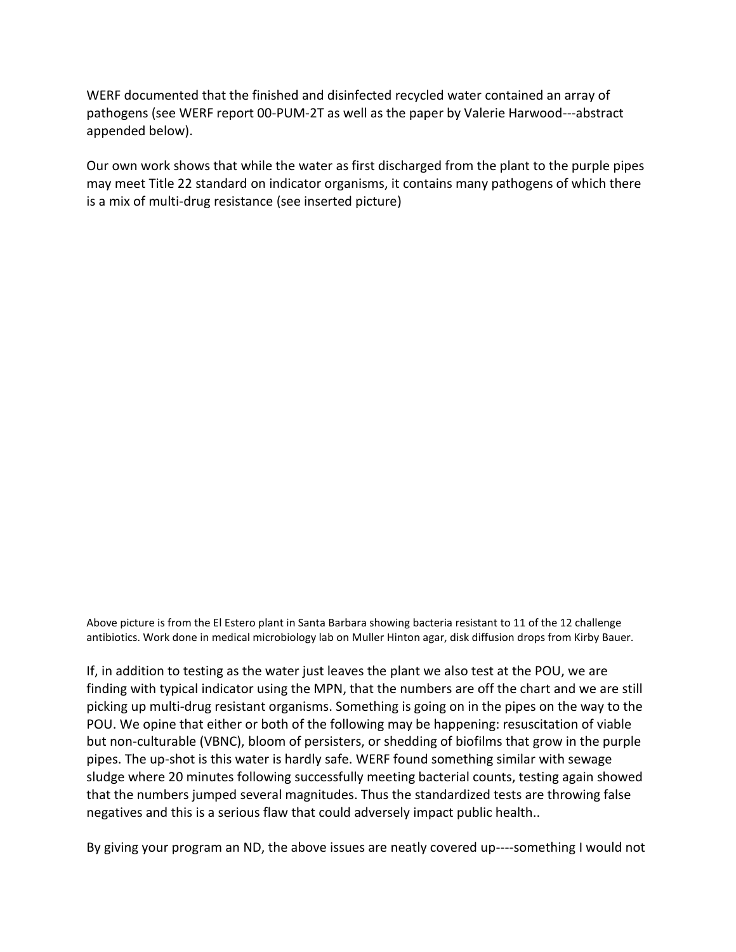WERF documented that the finished and disinfected recycled water contained an array of pathogens (see WERF report 00-PUM-2T as well as the paper by Valerie Harwood---abstract appended below).

Our own work shows that while the water as first discharged from the plant to the purple pipes may meet Title 22 standard on indicator organisms, it contains many pathogens of which there is a mix of multi-drug resistance (see inserted picture)

Above picture is from the El Estero plant in Santa Barbara showing bacteria resistant to 11 of the 12 challenge antibiotics. Work done in medical microbiology lab on Muller Hinton agar, disk diffusion drops from Kirby Bauer.

If, in addition to testing as the water just leaves the plant we also test at the POU, we are finding with typical indicator using the MPN, that the numbers are off the chart and we are still picking up multi-drug resistant organisms. Something is going on in the pipes on the way to the POU. We opine that either or both of the following may be happening: resuscitation of viable but non-culturable (VBNC), bloom of persisters, or shedding of biofilms that grow in the purple pipes. The up-shot is this water is hardly safe. WERF found something similar with sewage sludge where 20 minutes following successfully meeting bacterial counts, testing again showed that the numbers jumped several magnitudes. Thus the standardized tests are throwing false negatives and this is a serious flaw that could adversely impact public health..

By giving your program an ND, the above issues are neatly covered up----something I would not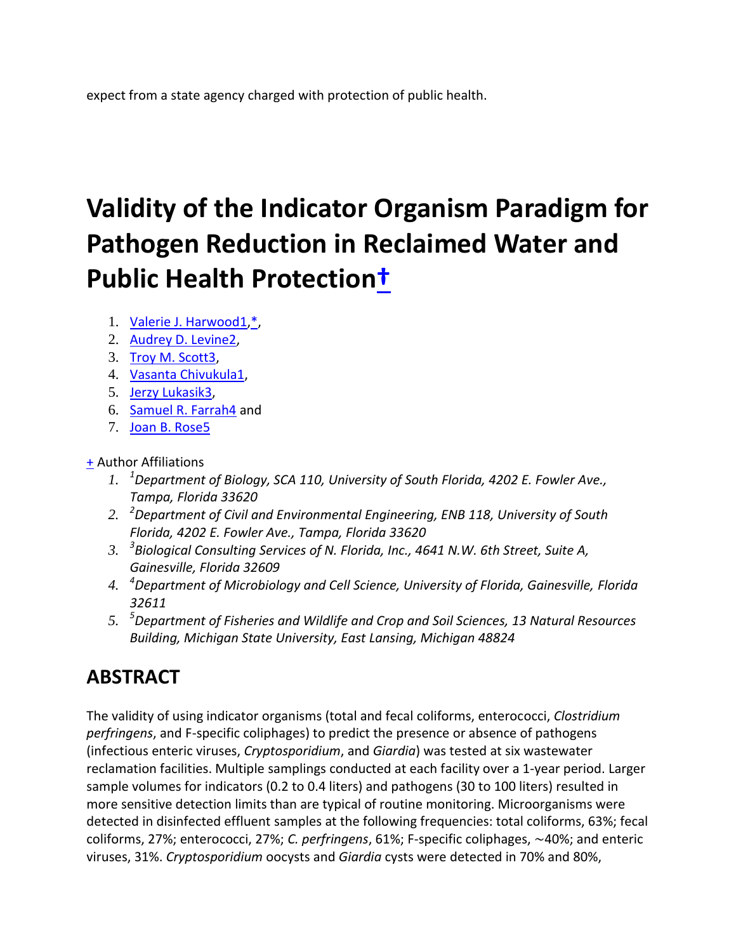expect from a state agency charged with protection of public health.

# **Validity of the Indicator Organism Paradigm for Pathogen Reduction in Reclaimed Water and Public Health Protectio[n†](http://aem.asm.org/content/71/6/3163.short#fn-1)**

- 1. [Valerie J. Harwood1](http://aem.asm.org/search?author1=Valerie+J.+Harwood&sortspec=date&submit=Submit)[,\\*,](http://aem.asm.org/content/71/6/3163.short#corresp-1)
- 2. [Audrey D. Levine2,](http://aem.asm.org/search?author1=Audrey+D.+Levine&sortspec=date&submit=Submit)
- 3. [Troy M. Scott3,](http://aem.asm.org/search?author1=Troy+M.+Scott&sortspec=date&submit=Submit)
- 4. [Vasanta Chivukula1,](http://aem.asm.org/search?author1=Vasanta+Chivukula&sortspec=date&submit=Submit)
- 5. [Jerzy Lukasik3,](http://aem.asm.org/search?author1=Jerzy+Lukasik&sortspec=date&submit=Submit)
- 6. [Samuel R. Farrah4](http://aem.asm.org/search?author1=Samuel+R.+Farrah&sortspec=date&submit=Submit) and
- 7. [Joan B. Rose5](http://aem.asm.org/search?author1=Joan+B.+Rose&sortspec=date&submit=Submit)

### [+](http://aem.asm.org/content/71/6/3163.short) Author Affiliations

- *1. <sup>1</sup>Department of Biology, SCA 110, University of South Florida, 4202 E. Fowler Ave., Tampa, Florida 33620*
- *2. <sup>2</sup>Department of Civil and Environmental Engineering, ENB 118, University of South Florida, 4202 E. Fowler Ave., Tampa, Florida 33620*
- *3. <sup>3</sup> Biological Consulting Services of N. Florida, Inc., 4641 N.W. 6th Street, Suite A, Gainesville, Florida 32609*
- *4. <sup>4</sup>Department of Microbiology and Cell Science, University of Florida, Gainesville, Florida 32611*
- *5. <sup>5</sup>Department of Fisheries and Wildlife and Crop and Soil Sciences, 13 Natural Resources Building, Michigan State University, East Lansing, Michigan 48824*

## **ABSTRACT**

The validity of using indicator organisms (total and fecal coliforms, enterococci, *Clostridium perfringens*, and F-specific coliphages) to predict the presence or absence of pathogens (infectious enteric viruses, *Cryptosporidium*, and *Giardia*) was tested at six wastewater reclamation facilities. Multiple samplings conducted at each facility over a 1-year period. Larger sample volumes for indicators (0.2 to 0.4 liters) and pathogens (30 to 100 liters) resulted in more sensitive detection limits than are typical of routine monitoring. Microorganisms were detected in disinfected effluent samples at the following frequencies: total coliforms, 63%; fecal coliforms, 27%; enterococci, 27%; *C. perfringens*, 61%; F-specific coliphages, ∼40%; and enteric viruses, 31%. *Cryptosporidium* oocysts and *Giardia* cysts were detected in 70% and 80%,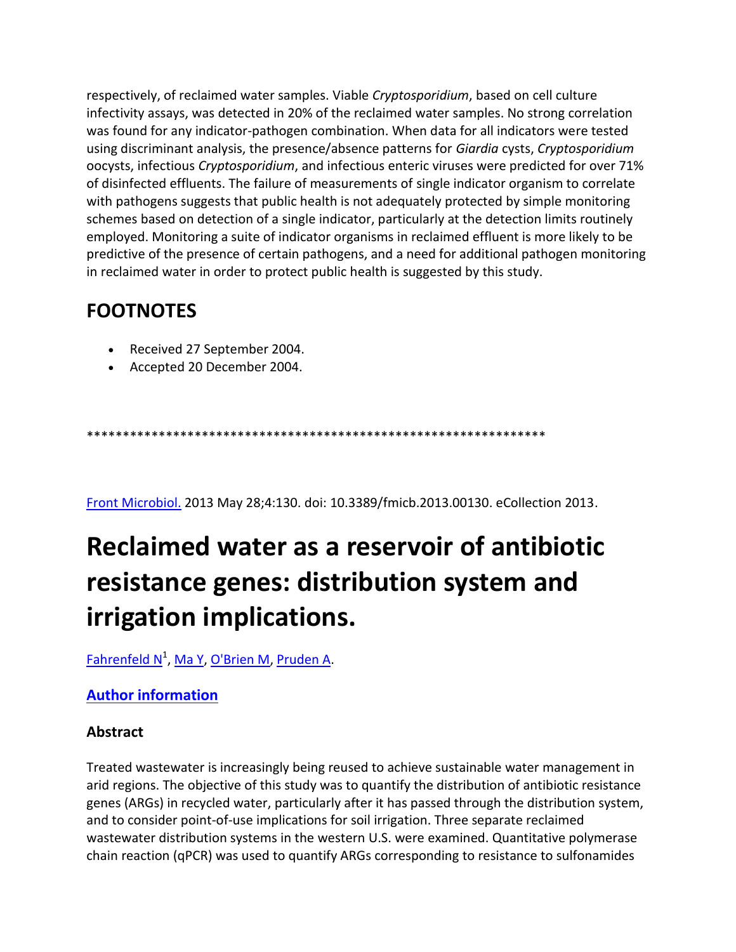respectively, of reclaimed water samples. Viable *Cryptosporidium*, based on cell culture infectivity assays, was detected in 20% of the reclaimed water samples. No strong correlation was found for any indicator-pathogen combination. When data for all indicators were tested using discriminant analysis, the presence/absence patterns for *Giardia* cysts, *Cryptosporidium* oocysts, infectious *Cryptosporidium*, and infectious enteric viruses were predicted for over 71% of disinfected effluents. The failure of measurements of single indicator organism to correlate with pathogens suggests that public health is not adequately protected by simple monitoring schemes based on detection of a single indicator, particularly at the detection limits routinely employed. Monitoring a suite of indicator organisms in reclaimed effluent is more likely to be predictive of the presence of certain pathogens, and a need for additional pathogen monitoring in reclaimed water in order to protect public health is suggested by this study.

### **FOOTNOTES**

- Received 27 September 2004.
- Accepted 20 December 2004.

\*\*\*\*\*\*\*\*\*\*\*\*\*\*\*\*\*\*\*\*\*\*\*\*\*\*\*\*\*\*\*\*\*\*\*\*\*\*\*\*\*\*\*\*\*\*\*\*\*\*\*\*\*\*\*\*\*\*\*\*\*\*\*\*

[Front Microbiol.](http://www.ncbi.nlm.nih.gov/pubmed/23755046) 2013 May 28;4:130. doi: 10.3389/fmicb.2013.00130. eCollection 2013.

## **Reclaimed water as a reservoir of antibiotic resistance genes: distribution system and irrigation implications.**

<u>[Fahrenfeld N](http://www.ncbi.nlm.nih.gov/pubmed?term=Fahrenfeld%20N%5BAuthor%5D&cauthor=true&cauthor_uid=23755046)<sup>1</sup>, [Ma Y,](http://www.ncbi.nlm.nih.gov/pubmed?term=Ma%20Y%5BAuthor%5D&cauthor=true&cauthor_uid=23755046) [O'Brien M,](http://www.ncbi.nlm.nih.gov/pubmed?term=O%27Brien%20M%5BAuthor%5D&cauthor=true&cauthor_uid=23755046) Pruden A</u>.

### **[Author information](http://www.ncbi.nlm.nih.gov/pubmed/23755046)**

### **Abstract**

Treated wastewater is increasingly being reused to achieve sustainable water management in arid regions. The objective of this study was to quantify the distribution of antibiotic resistance genes (ARGs) in recycled water, particularly after it has passed through the distribution system, and to consider point-of-use implications for soil irrigation. Three separate reclaimed wastewater distribution systems in the western U.S. were examined. Quantitative polymerase chain reaction (qPCR) was used to quantify ARGs corresponding to resistance to sulfonamides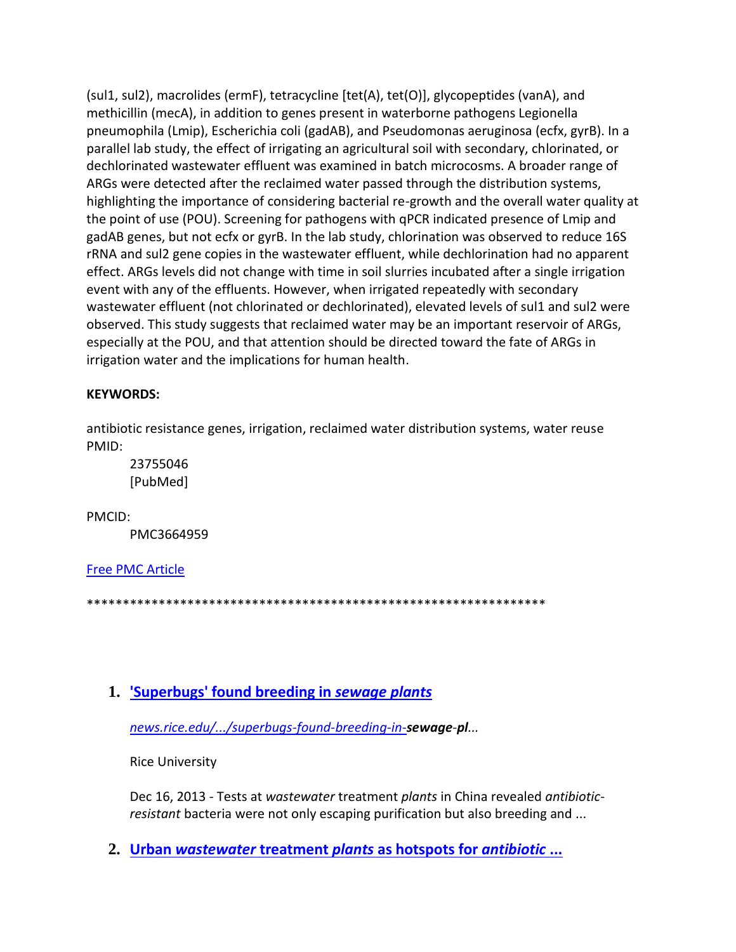(sul1, sul2), macrolides (ermF), tetracycline [tet(A), tet(O)], glycopeptides (vanA), and methicillin (mecA), in addition to genes present in waterborne pathogens Legionella pneumophila (Lmip), Escherichia coli (gadAB), and Pseudomonas aeruginosa (ecfx, gyrB). In a parallel lab study, the effect of irrigating an agricultural soil with secondary, chlorinated, or dechlorinated wastewater effluent was examined in batch microcosms. A broader range of ARGs were detected after the reclaimed water passed through the distribution systems, highlighting the importance of considering bacterial re-growth and the overall water quality at the point of use (POU). Screening for pathogens with qPCR indicated presence of Lmip and gadAB genes, but not ecfx or gyrB. In the lab study, chlorination was observed to reduce 16S rRNA and sul2 gene copies in the wastewater effluent, while dechlorination had no apparent effect. ARGs levels did not change with time in soil slurries incubated after a single irrigation event with any of the effluents. However, when irrigated repeatedly with secondary wastewater effluent (not chlorinated or dechlorinated), elevated levels of sul1 and sul2 were observed. This study suggests that reclaimed water may be an important reservoir of ARGs, especially at the POU, and that attention should be directed toward the fate of ARGs in irrigation water and the implications for human health.

### **KFYWORDS:**

antibiotic resistance genes, irrigation, reclaimed water distribution systems, water reuse PMID:

23755046 [PubMed]

PMCID:

PMC3664959

**Free PMC Article** 

### 1. 'Superbugs' found breeding in sewage plants

news.rice.edu/.../superbugs-found-breeding-in-sewage-pl...

**Rice University** 

Dec 16, 2013 - Tests at wastewater treatment plants in China revealed antibioticresistant bacteria were not only escaping purification but also breeding and ...

2. Urban wastewater treatment plants as hotspots for antibiotic ...